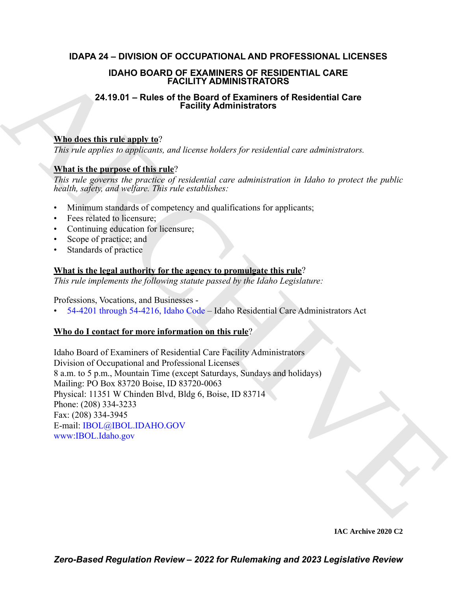## **IDAPA 24 – DIVISION OF OCCUPATIONAL AND PROFESSIONAL LICENSES**

## **IDAHO BOARD OF EXAMINERS OF RESIDENTIAL CARE FACILITY ADMINISTRATORS**

## **24.19.01 – Rules of the Board of Examiners of Residential Care Facility Administrators**

## **Who does this rule apply to**?

*This rule applies to applicants, and license holders for residential care administrators.*

## **What is the purpose of this rule**?

*This rule governs the practice of residential care administration in Idaho to protect the public health, safety, and welfare. This rule establishes:*

- Minimum standards of competency and qualifications for applicants;
- Fees related to licensure:
- Continuing education for licensure;
- Scope of practice; and
- Standards of practice

## **What is the legal authority for the agency to promulgate this rule**?

*This rule implements the following statute passed by the Idaho Legislature:*

Professions, Vocations, and Businesses -

• 54-4201 through 54-4216, Idaho Code – Idaho Residential Care Administrators Act

## **Who do I contact for more information on this rule**?

**IDAN OB DARP OF EXAMINERS OF EXERCUENTIAL CARE**<br> **24.19.01 – Ruise of the Board of Examiners of Residential Gare**<br> **24.19.01 – Ruise of the Board of Examiners of Residential Gare<br>
Microsoftenic applies to applicants, and** Idaho Board of Examiners of Residential Care Facility Administrators Division of Occupational and Professional Licenses 8 a.m. to 5 p.m., Mountain Time (except Saturdays, Sundays and holidays) Mailing: PO Box 83720 Boise, ID 83720-0063 Physical: 11351 W Chinden Blvd, Bldg 6, Boise, ID 83714 Phone: (208) 334-3233 Fax: (208) 334-3945 E-mail: IBOL@IBOL.IDAHO.GOV www:IBOL.Idaho.gov

**IAC Archive 2020 C2**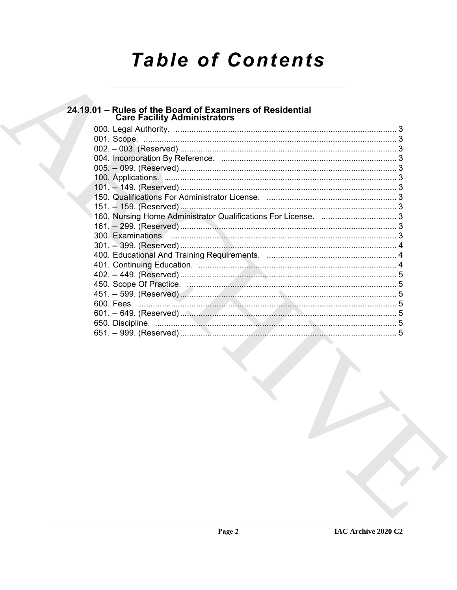# **Table of Contents**

## 24.19.01 - Rules of the Board of Examiners of Residential<br>Care Facility Administrators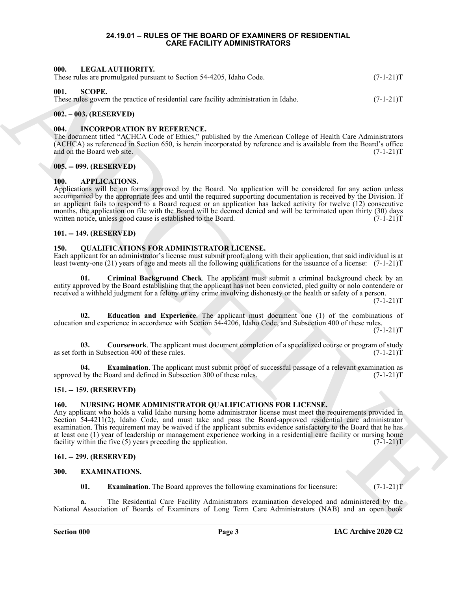#### **24.19.01 – RULES OF THE BOARD OF EXAMINERS OF RESIDENTIAL CARE FACILITY ADMINISTRATORS**

#### <span id="page-2-17"></span><span id="page-2-1"></span><span id="page-2-0"></span>**000. LEGAL AUTHORITY.**

<span id="page-2-23"></span>

| These rules are promulgated pursuant to Section 54-4205, Idaho Code. | $(7-1-21)T$ |
|----------------------------------------------------------------------|-------------|
|----------------------------------------------------------------------|-------------|

#### <span id="page-2-2"></span>**001. SCOPE.**

These rules govern the practice of residential care facility administration in Idaho. (7-1-21) T

#### <span id="page-2-3"></span>**002. – 003. (RESERVED)**

#### <span id="page-2-16"></span><span id="page-2-4"></span>**004. INCORPORATION BY REFERENCE.**

The document titled "ACHCA Code of Ethics," published by the American College of Health Care Administrators (ACHCA) as referenced in Section 650, is herein incorporated by reference and is available from the Board's office and on the Board web site. (7-1-21)T

#### <span id="page-2-5"></span>**005. -- 099. (RESERVED)**

#### <span id="page-2-13"></span><span id="page-2-6"></span>**100. APPLICATIONS.**

601. INCOLUMENTY We are the specific of a single specific of a single specific of a single specific of  $(24-21)$ <br>
Thus calculate the specific of specific specific specific of a single specific in the second technique of t Applications will be on forms approved by the Board. No application will be considered for any action unless accompanied by the appropriate fees and until the required supporting documentation is received by the Division. If an applicant fails to respond to a Board request or an application has lacked activity for twelve (12) consecutive months, the application on file with the Board will be deemed denied and will be terminated upon thirty (30) days written notice, unless good cause is established to the Board. (7-1-21) written notice, unless good cause is established to the Board.

#### <span id="page-2-7"></span>**101. -- 149. (RESERVED)**

#### <span id="page-2-19"></span><span id="page-2-8"></span>**150. QUALIFICATIONS FOR ADMINISTRATOR LICENSE.**

Each applicant for an administrator's license must submit proof, along with their application, that said individual is at least twenty-one (21) years of age and meets all the following qualifications for the issuance of a license: (7-1-21)T

<span id="page-2-14"></span>**01. Criminal Background Check**. The applicant must submit a criminal background check by an entity approved by the Board establishing that the applicant has not been convicted, pled guilty or nolo contendere or received a withheld judgment for a felony or any crime involving dishonesty or the health or safety of a person.

 $(7-1-21)T$ 

<span id="page-2-21"></span>**02. Education and Experience**. The applicant must document one (1) of the combinations of education and experience in accordance with Section 54-4206, Idaho Code, and Subsection 400 of these rules.

 $(7-1-21)T$ 

<span id="page-2-20"></span>**03.** Coursework. The applicant must document completion of a specialized course or program of study th in Subsection 400 of these rules. (7-1-21) as set forth in Subsection 400 of these rules.

<span id="page-2-22"></span>**04. Examination**. The applicant must submit proof of successful passage of a relevant examination as approved by the Board and defined in Subsection 300 of these rules. (7-1-21)T

### <span id="page-2-9"></span>**151. -- 159. (RESERVED)**

### <span id="page-2-18"></span><span id="page-2-10"></span>**160. NURSING HOME ADMINISTRATOR QUALIFICATIONS FOR LICENSE.**

Any applicant who holds a valid Idaho nursing home administrator license must meet the requirements provided in Section 54-4211(2), Idaho Code, and must take and pass the Board-approved residential care administrator examination. This requirement may be waived if the applicant submits evidence satisfactory to the Board that he has at least one (1) year of leadership or management experience working in a residential care facility or nursing home facility within the five (5) years preceding the application.  $(7-1-21)T$ 

#### <span id="page-2-11"></span>**161. -- 299. (RESERVED)**

#### <span id="page-2-12"></span>**300. EXAMINATIONS.**

<span id="page-2-15"></span>**01. Examination**. The Board approves the following examinations for licensure:  $(7-1-21)T$ 

**a.** The Residential Care Facility Administrators examination developed and administered by the National Association of Boards of Examiners of Long Term Care Administrators (NAB) and an open book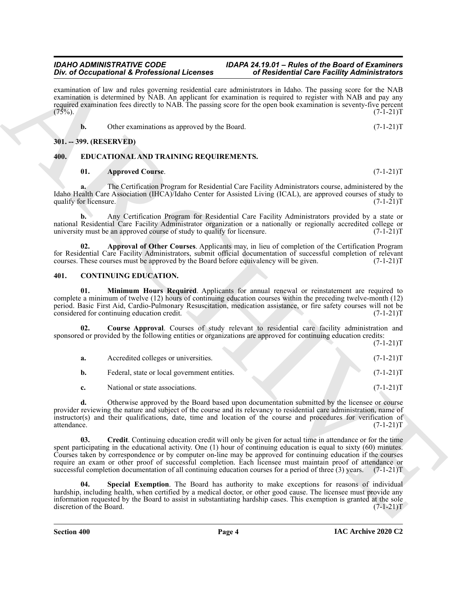## *Div. of Occupational & Professional Licenses of Residential Care Facility Administrators*

examination of law and rules governing residential care administrators in Idaho. The passing score for the NAB examination is determined by NAB. An applicant for examination is required to register with NAB and pay any required examination fees directly to NAB. The passing score for the open book examination is seventy-five percent  $(75\%)$ .  $(7-1-21)T$ 

|  | Other examinations as approved by the Board. | $(7-1-21)T$ |
|--|----------------------------------------------|-------------|
|  |                                              |             |

## <span id="page-3-0"></span>**301. -- 399. (RESERVED)**

## <span id="page-3-1"></span>**400. EDUCATIONAL AND TRAINING REQUIREMENTS.**

## <span id="page-3-10"></span><span id="page-3-8"></span>**01. Approved Course**. (7-1-21)T

**a.** The Certification Program for Residential Care Facility Administrators course, administered by the Idaho Health Care Association (IHCA)/Idaho Center for Assisted Living (ICAL), are approved courses of study to qualify for licensure. (7-1-21)T qualify for licensure.

**b.** Any Certification Program for Residential Care Facility Administrators provided by a state or national Residential Care Facility Administrator organization or a nationally or regionally accredited college or university must be an approved course of study to qualify for licensure.  $(7-1-21)T$ 

<span id="page-3-9"></span>**02. Approval of Other Courses**. Applicants may, in lieu of completion of the Certification Program for Residential Care Facility Administrators, submit official documentation of successful completion of relevant courses. These courses must be approved by the Board before equivalency will be given.  $(7-1-21)$ T courses. These courses must be approved by the Board before equivalency will be given.

## <span id="page-3-3"></span><span id="page-3-2"></span>**401. CONTINUING EDUCATION.**

<span id="page-3-6"></span>**01. Minimum Hours Required**. Applicants for annual renewal or reinstatement are required to complete a minimum of twelve (12) hours of continuing education courses within the preceding twelve-month (12) period. Basic First Aid, Cardio-Pulmonary Resuscitation, medication assistance, or fire safety courses will not be considered for continuing education credit. (7-1-21) considered for continuing education credit.

**02. Course Approval**. Courses of study relevant to residential care facility administration and sponsored or provided by the following entities or organizations are approved for continuing education credits:  $(7-1-21)T$ 

<span id="page-3-4"></span>

| а. | Accredited colleges or universities.         |  | $(7-1-21)T$ |
|----|----------------------------------------------|--|-------------|
| b. | Federal, state or local government entities. |  | $(7-1-21)T$ |
|    | National or state associations.              |  | $(7-1-21)T$ |

<span id="page-3-5"></span>**d.** Otherwise approved by the Board based upon documentation submitted by the licensee or course provider reviewing the nature and subject of the course and its relevancy to residential care administration, name of instructor(s) and their qualifications, date, time and location of the course and procedures for verification of attendance.  $(7-1-21)T$ attendance. (7-1-21)T

For *information* is for *formation* in *CO* **Example the Control is the interesting of**  $P$  **<b>Control in the control in the control in the control in the control in the control in the control in the control in the control 03. Credit**. Continuing education credit will only be given for actual time in attendance or for the time spent participating in the educational activity. One (1) hour of continuing education is equal to sixty (60) minutes. Courses taken by correspondence or by computer on-line may be approved for continuing education if the courses require an exam or other proof of successful completion. Each licensee must maintain proof of attendance or successful completion documentation of all continuing education courses for a period of three (3) years. (7-1-21)T

<span id="page-3-7"></span>**04. Special Exemption**. The Board has authority to make exceptions for reasons of individual hardship, including health, when certified by a medical doctor, or other good cause. The licensee must provide any information requested by the Board to assist in substantiating hardship cases. This exemption is granted at the sole discretion of the Board.

**Section 400 Page 4**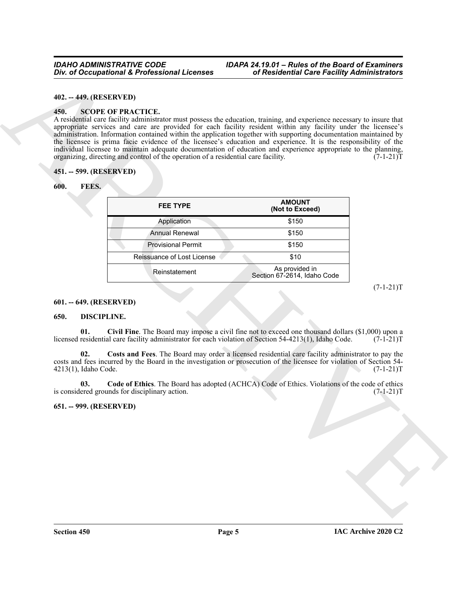#### <span id="page-4-0"></span>**402. -- 449. (RESERVED)**

#### <span id="page-4-12"></span><span id="page-4-1"></span>**450. SCOPE OF PRACTICE.**

#### <span id="page-4-2"></span>**451. -- 599. (RESERVED)**

#### <span id="page-4-11"></span><span id="page-4-3"></span>**600. FEES.**

| 402. -- 449. (RESERVED)     |                                                                                                                                                                                                                                                                                                                                                                                                                                                                                                                                                                                                                                                                                                                          |                                               |             |
|-----------------------------|--------------------------------------------------------------------------------------------------------------------------------------------------------------------------------------------------------------------------------------------------------------------------------------------------------------------------------------------------------------------------------------------------------------------------------------------------------------------------------------------------------------------------------------------------------------------------------------------------------------------------------------------------------------------------------------------------------------------------|-----------------------------------------------|-------------|
| 450.                        | <b>SCOPE OF PRACTICE.</b><br>A residential care facility administrator must possess the education, training, and experience necessary to insure that<br>appropriate services and care are provided for each facility resident within any facility under the licensee's<br>administration. Information contained within the application together with supporting documentation maintained by<br>the licensee is prima facie evidence of the licensee's education and experience. It is the responsibility of the<br>individual licensee to maintain adequate documentation of education and experience appropriate to the planning,<br>organizing, directing and control of the operation of a residential care facility. |                                               | $(7-1-21)T$ |
| 451. -- 599. (RESERVED)     |                                                                                                                                                                                                                                                                                                                                                                                                                                                                                                                                                                                                                                                                                                                          |                                               |             |
| FEES.<br>600.               |                                                                                                                                                                                                                                                                                                                                                                                                                                                                                                                                                                                                                                                                                                                          |                                               |             |
|                             | <b>FEE TYPE</b>                                                                                                                                                                                                                                                                                                                                                                                                                                                                                                                                                                                                                                                                                                          | <b>AMOUNT</b><br>(Not to Exceed)              |             |
|                             | Application                                                                                                                                                                                                                                                                                                                                                                                                                                                                                                                                                                                                                                                                                                              | \$150                                         |             |
|                             | <b>Annual Renewal</b>                                                                                                                                                                                                                                                                                                                                                                                                                                                                                                                                                                                                                                                                                                    | \$150                                         |             |
|                             | <b>Provisional Permit</b>                                                                                                                                                                                                                                                                                                                                                                                                                                                                                                                                                                                                                                                                                                | \$150                                         |             |
|                             | Reissuance of Lost License                                                                                                                                                                                                                                                                                                                                                                                                                                                                                                                                                                                                                                                                                               | \$10                                          |             |
|                             | Reinstatement                                                                                                                                                                                                                                                                                                                                                                                                                                                                                                                                                                                                                                                                                                            | As provided in<br>Section 67-2614, Idaho Code |             |
|                             |                                                                                                                                                                                                                                                                                                                                                                                                                                                                                                                                                                                                                                                                                                                          |                                               | $(7-1-21)T$ |
| 601. -- 649. (RESERVED)     |                                                                                                                                                                                                                                                                                                                                                                                                                                                                                                                                                                                                                                                                                                                          |                                               |             |
| DISCIPLINE.<br>650.         |                                                                                                                                                                                                                                                                                                                                                                                                                                                                                                                                                                                                                                                                                                                          |                                               |             |
| 01.                         | Civil Fine. The Board may impose a civil fine not to exceed one thousand dollars (\$1,000) upon a<br>licensed residential care facility administrator for each violation of Section 54-4213(1), Idaho Code.                                                                                                                                                                                                                                                                                                                                                                                                                                                                                                              |                                               | $(7-1-21)T$ |
| 02.<br>4213(1), Idaho Code. | Costs and Fees. The Board may order a licensed residential care facility administrator to pay the<br>costs and fees incurred by the Board in the investigation or prosecution of the licensee for violation of Section 54-                                                                                                                                                                                                                                                                                                                                                                                                                                                                                               |                                               | $(7-1-21)T$ |
| 03.                         | Code of Ethics. The Board has adopted (ACHCA) Code of Ethics. Violations of the code of ethics<br>is considered grounds for disciplinary action.                                                                                                                                                                                                                                                                                                                                                                                                                                                                                                                                                                         |                                               | $(7-1-21)T$ |
| 651. -- 999. (RESERVED)     |                                                                                                                                                                                                                                                                                                                                                                                                                                                                                                                                                                                                                                                                                                                          |                                               |             |
|                             |                                                                                                                                                                                                                                                                                                                                                                                                                                                                                                                                                                                                                                                                                                                          |                                               |             |
|                             |                                                                                                                                                                                                                                                                                                                                                                                                                                                                                                                                                                                                                                                                                                                          |                                               |             |
|                             |                                                                                                                                                                                                                                                                                                                                                                                                                                                                                                                                                                                                                                                                                                                          |                                               |             |
|                             |                                                                                                                                                                                                                                                                                                                                                                                                                                                                                                                                                                                                                                                                                                                          |                                               |             |
|                             |                                                                                                                                                                                                                                                                                                                                                                                                                                                                                                                                                                                                                                                                                                                          |                                               |             |
|                             |                                                                                                                                                                                                                                                                                                                                                                                                                                                                                                                                                                                                                                                                                                                          |                                               |             |
|                             |                                                                                                                                                                                                                                                                                                                                                                                                                                                                                                                                                                                                                                                                                                                          |                                               |             |

#### <span id="page-4-4"></span>**601. -- 649. (RESERVED)**

#### <span id="page-4-10"></span><span id="page-4-8"></span><span id="page-4-7"></span><span id="page-4-5"></span>**650. DISCIPLINE.**

#### <span id="page-4-9"></span><span id="page-4-6"></span>**651. -- 999. (RESERVED)**